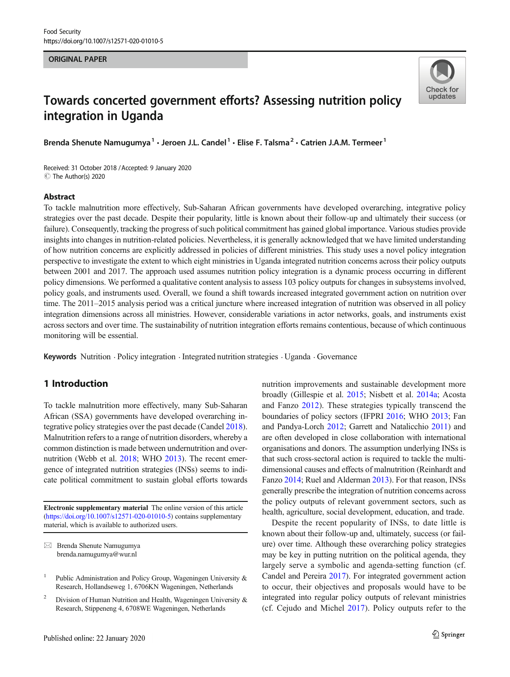#### ORIGINAL PAPER



# Towards concerted government efforts? Assessing nutrition policy integration in Uganda

Brenda Shenute Namugumya<sup>1</sup> · Jeroen J.L. Candel<sup>1</sup> · Elise F. Talsma<sup>2</sup> · Catrien J.A.M. Termeer<sup>1</sup>

Received: 31 October 2018 /Accepted: 9 January 2020 C The Author(s) 2020

#### Abstract

To tackle malnutrition more effectively, Sub-Saharan African governments have developed overarching, integrative policy strategies over the past decade. Despite their popularity, little is known about their follow-up and ultimately their success (or failure). Consequently, tracking the progress of such political commitment has gained global importance. Various studies provide insights into changes in nutrition-related policies. Nevertheless, it is generally acknowledged that we have limited understanding of how nutrition concerns are explicitly addressed in policies of different ministries. This study uses a novel policy integration perspective to investigate the extent to which eight ministries in Uganda integrated nutrition concerns across their policy outputs between 2001 and 2017. The approach used assumes nutrition policy integration is a dynamic process occurring in different policy dimensions. We performed a qualitative content analysis to assess 103 policy outputs for changes in subsystems involved, policy goals, and instruments used. Overall, we found a shift towards increased integrated government action on nutrition over time. The 2011–2015 analysis period was a critical juncture where increased integration of nutrition was observed in all policy integration dimensions across all ministries. However, considerable variations in actor networks, goals, and instruments exist across sectors and over time. The sustainability of nutrition integration efforts remains contentious, because of which continuous monitoring will be essential.

Keywords Nutrition . Policy integration . Integrated nutrition strategies . Uganda . Governance

# 1 Introduction

To tackle malnutrition more effectively, many Sub-Saharan African (SSA) governments have developed overarching integrative policy strategies over the past decade (Candel [2018\)](#page-11-0). Malnutrition refers to a range of nutrition disorders, whereby a common distinction is made between undernutrition and overnutrition (Webb et al. [2018;](#page-13-0) WHO [2013](#page-13-0)). The recent emergence of integrated nutrition strategies (INSs) seems to indicate political commitment to sustain global efforts towards

Electronic supplementary material The online version of this article ([https://doi.org/10.1007/s12571-020-01010-5\)](https://doi.org/10.1007/s12571-020-01010-5) contains supplementary material, which is available to authorized users.

 $\boxtimes$  Brenda Shenute Namugumya [brenda.namugumya@wur.nl](mailto:brenda.namugumya@wur.nl)

nutrition improvements and sustainable development more broadly (Gillespie et al. [2015;](#page-12-0) Nisbett et al. [2014a;](#page-12-0) Acosta and Fanzo [2012\)](#page-11-0). These strategies typically transcend the boundaries of policy sectors (IFPRI [2016](#page-12-0); WHO [2013;](#page-13-0) Fan and Pandya-Lorch [2012;](#page-12-0) Garrett and Natalicchio [2011](#page-12-0)) and are often developed in close collaboration with international organisations and donors. The assumption underlying INSs is that such cross-sectoral action is required to tackle the multidimensional causes and effects of malnutrition (Reinhardt and Fanzo [2014;](#page-12-0) Ruel and Alderman [2013](#page-12-0)). For that reason, INSs generally prescribe the integration of nutrition concerns across the policy outputs of relevant government sectors, such as health, agriculture, social development, education, and trade.

Despite the recent popularity of INSs, to date little is known about their follow-up and, ultimately, success (or failure) over time. Although these overarching policy strategies may be key in putting nutrition on the political agenda, they largely serve a symbolic and agenda-setting function (cf. Candel and Pereira [2017\)](#page-11-0). For integrated government action to occur, their objectives and proposals would have to be integrated into regular policy outputs of relevant ministries (cf. Cejudo and Michel [2017](#page-11-0)). Policy outputs refer to the

Public Administration and Policy Group, Wageningen University & Research, Hollandseweg 1, 6706KN Wageningen, Netherlands

<sup>&</sup>lt;sup>2</sup> Division of Human Nutrition and Health, Wageningen University  $\&$ Research, Stippeneng 4, 6708WE Wageningen, Netherlands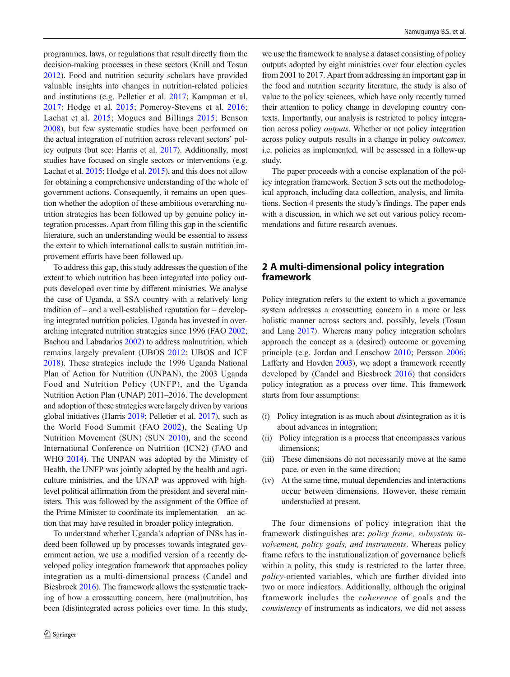programmes, laws, or regulations that result directly from the decision-making processes in these sectors (Knill and Tosun [2012\)](#page-12-0). Food and nutrition security scholars have provided valuable insights into changes in nutrition-related policies and institutions (e.g. Pelletier et al. [2017;](#page-12-0) Kampman et al. [2017;](#page-12-0) Hodge et al. [2015](#page-12-0); Pomeroy-Stevens et al. [2016](#page-12-0); Lachat et al. [2015;](#page-12-0) Mogues and Billings [2015](#page-12-0); Benson [2008\)](#page-11-0), but few systematic studies have been performed on the actual integration of nutrition across relevant sectors' policy outputs (but see: Harris et al. [2017\)](#page-12-0). Additionally, most studies have focused on single sectors or interventions (e.g. Lachat et al. [2015;](#page-12-0) Hodge et al. [2015\)](#page-12-0), and this does not allow for obtaining a comprehensive understanding of the whole of government actions. Consequently, it remains an open question whether the adoption of these ambitious overarching nutrition strategies has been followed up by genuine policy integration processes. Apart from filling this gap in the scientific literature, such an understanding would be essential to assess the extent to which international calls to sustain nutrition improvement efforts have been followed up.

To address this gap, this study addresses the question of the extent to which nutrition has been integrated into policy outputs developed over time by different ministries. We analyse the case of Uganda, a SSA country with a relatively long tradition of – and a well-established reputation for – developing integrated nutrition policies. Uganda has invested in overarching integrated nutrition strategies since 1996 (FAO [2002](#page-12-0); Bachou and Labadarios [2002](#page-11-0)) to address malnutrition, which remains largely prevalent (UBOS [2012;](#page-13-0) UBOS and ICF [2018\)](#page-13-0). These strategies include the 1996 Uganda National Plan of Action for Nutrition (UNPAN), the 2003 Uganda Food and Nutrition Policy (UNFP), and the Uganda Nutrition Action Plan (UNAP) 2011–2016. The development and adoption of these strategies were largely driven by various global initiatives (Harris [2019;](#page-12-0) Pelletier et al. [2017](#page-12-0)), such as the World Food Summit (FAO [2002](#page-12-0)), the Scaling Up Nutrition Movement (SUN) (SUN [2010\)](#page-12-0), and the second International Conference on Nutrition (ICN2) (FAO and WHO [2014\)](#page-12-0). The UNPAN was adopted by the Ministry of Health, the UNFP was jointly adopted by the health and agriculture ministries, and the UNAP was approved with highlevel political affirmation from the president and several ministers. This was followed by the assignment of the Office of the Prime Minister to coordinate its implementation – an action that may have resulted in broader policy integration.

To understand whether Uganda's adoption of INSs has indeed been followed up by processes towards integrated government action, we use a modified version of a recently developed policy integration framework that approaches policy integration as a multi-dimensional process (Candel and Biesbroek [2016](#page-11-0)). The framework allows the systematic tracking of how a crosscutting concern, here (mal)nutrition, has been (dis)integrated across policies over time. In this study,

we use the framework to analyse a dataset consisting of policy outputs adopted by eight ministries over four election cycles from 2001 to 2017. Apart from addressing an important gap in the food and nutrition security literature, the study is also of value to the policy sciences, which have only recently turned their attention to policy change in developing country contexts. Importantly, our analysis is restricted to policy integration across policy outputs. Whether or not policy integration across policy outputs results in a change in policy outcomes, i.e. policies as implemented, will be assessed in a follow-up study.

The paper proceeds with a concise explanation of the policy integration framework. Section 3 sets out the methodological approach, including data collection, analysis, and limitations. Section 4 presents the study's findings. The paper ends with a discussion, in which we set out various policy recommendations and future research avenues.

# 2 A multi-dimensional policy integration framework

Policy integration refers to the extent to which a governance system addresses a crosscutting concern in a more or less holistic manner across sectors and, possibly, levels (Tosun and Lang [2017](#page-12-0)). Whereas many policy integration scholars approach the concept as a (desired) outcome or governing principle (e.g. Jordan and Lenschow [2010](#page-12-0); Persson [2006;](#page-12-0) Lafferty and Hovden [2003\)](#page-12-0), we adopt a framework recently developed by (Candel and Biesbroek [2016](#page-11-0)) that considers policy integration as a process over time. This framework starts from four assumptions:

- (i) Policy integration is as much about disintegration as it is about advances in integration;
- (ii) Policy integration is a process that encompasses various dimensions;
- (iii) These dimensions do not necessarily move at the same pace, or even in the same direction;
- (iv) At the same time, mutual dependencies and interactions occur between dimensions. However, these remain understudied at present.

The four dimensions of policy integration that the framework distinguishes are: policy frame, subsystem involvement, policy goals, and instruments. Whereas policy frame refers to the instutionalization of governance beliefs within a polity, this study is restricted to the latter three, policy-oriented variables, which are further divided into two or more indicators. Additionally, although the original framework includes the coherence of goals and the consistency of instruments as indicators, we did not assess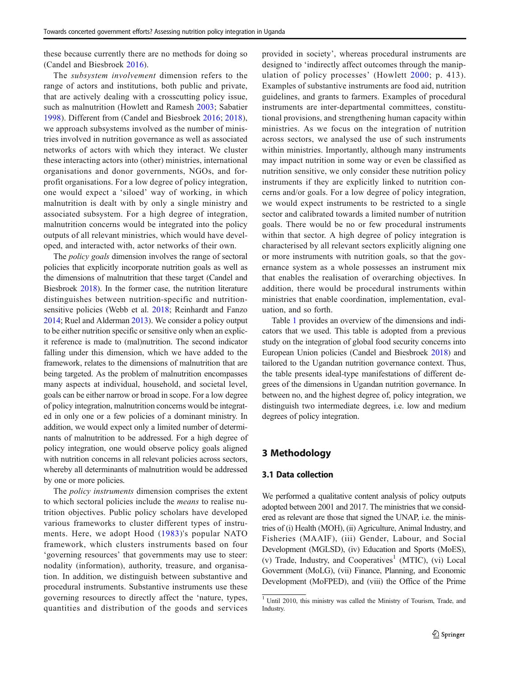these because currently there are no methods for doing so (Candel and Biesbroek [2016](#page-11-0)).

The subsystem involvement dimension refers to the range of actors and institutions, both public and private, that are actively dealing with a crosscutting policy issue, such as malnutrition (Howlett and Ramesh [2003](#page-12-0); Sabatier [1998](#page-12-0)). Different from (Candel and Biesbroek [2016](#page-11-0); [2018](#page-11-0)), we approach subsystems involved as the number of ministries involved in nutrition governance as well as associated networks of actors with which they interact. We cluster these interacting actors into (other) ministries, international organisations and donor governments, NGOs, and forprofit organisations. For a low degree of policy integration, one would expect a 'siloed' way of working, in which malnutrition is dealt with by only a single ministry and associated subsystem. For a high degree of integration, malnutrition concerns would be integrated into the policy outputs of all relevant ministries, which would have developed, and interacted with, actor networks of their own.

The *policy goals* dimension involves the range of sectoral policies that explicitly incorporate nutrition goals as well as the dimensions of malnutrition that these target (Candel and Biesbroek [2018\)](#page-11-0). In the former case, the nutrition literature distinguishes between nutrition-specific and nutritionsensitive policies (Webb et al. [2018;](#page-13-0) Reinhardt and Fanzo [2014;](#page-12-0) Ruel and Alderman [2013](#page-12-0)). We consider a policy output to be either nutrition specific or sensitive only when an explicit reference is made to (mal)nutrition. The second indicator falling under this dimension, which we have added to the framework, relates to the dimensions of malnutrition that are being targeted. As the problem of malnutrition encompasses many aspects at individual, household, and societal level, goals can be either narrow or broad in scope. For a low degree of policy integration, malnutrition concerns would be integrated in only one or a few policies of a dominant ministry. In addition, we would expect only a limited number of determinants of malnutrition to be addressed. For a high degree of policy integration, one would observe policy goals aligned with nutrition concerns in all relevant policies across sectors, whereby all determinants of malnutrition would be addressed by one or more policies.

The *policy instruments* dimension comprises the extent to which sectoral policies include the means to realise nutrition objectives. Public policy scholars have developed various frameworks to cluster different types of instruments. Here, we adopt Hood ([1983\)](#page-12-0)'s popular NATO framework, which clusters instruments based on four 'governing resources' that governments may use to steer: nodality (information), authority, treasure, and organisation. In addition, we distinguish between substantive and procedural instruments. Substantive instruments use these governing resources to directly affect the 'nature, types, quantities and distribution of the goods and services

provided in society', whereas procedural instruments are designed to 'indirectly affect outcomes through the manipulation of policy processes' (Howlett [2000](#page-12-0); p. 413). Examples of substantive instruments are food aid, nutrition guidelines, and grants to farmers. Examples of procedural instruments are inter-departmental committees, constitutional provisions, and strengthening human capacity within ministries. As we focus on the integration of nutrition across sectors, we analysed the use of such instruments within ministries. Importantly, although many instruments may impact nutrition in some way or even be classified as nutrition sensitive, we only consider these nutrition policy instruments if they are explicitly linked to nutrition concerns and/or goals. For a low degree of policy integration, we would expect instruments to be restricted to a single sector and calibrated towards a limited number of nutrition goals. There would be no or few procedural instruments within that sector. A high degree of policy integration is characterised by all relevant sectors explicitly aligning one or more instruments with nutrition goals, so that the governance system as a whole possesses an instrument mix that enables the realisation of overarching objectives. In addition, there would be procedural instruments within ministries that enable coordination, implementation, evaluation, and so forth.

Table [1](#page-3-0) provides an overview of the dimensions and indicators that we used. This table is adopted from a previous study on the integration of global food security concerns into European Union policies (Candel and Biesbroek [2018](#page-11-0)) and tailored to the Ugandan nutrition governance context. Thus, the table presents ideal-type manifestations of different degrees of the dimensions in Ugandan nutrition governance. In between no, and the highest degree of, policy integration, we distinguish two intermediate degrees, i.e. low and medium degrees of policy integration.

# 3 Methodology

## 3.1 Data collection

We performed a qualitative content analysis of policy outputs adopted between 2001 and 2017. The ministries that we considered as relevant are those that signed the UNAP, i.e. the ministries of (i) Health (MOH), (ii) Agriculture, Animal Industry, and Fisheries (MAAIF), (iii) Gender, Labour, and Social Development (MGLSD), (iv) Education and Sports (MoES), (v) Trade, Industry, and Cooperatives<sup>1</sup> (MTIC), (vi) Local Government (MoLG), (vii) Finance, Planning, and Economic Development (MoFPED), and (viii) the Office of the Prime

<sup>&</sup>lt;sup>1</sup> Until 2010, this ministry was called the Ministry of Tourism, Trade, and Industry.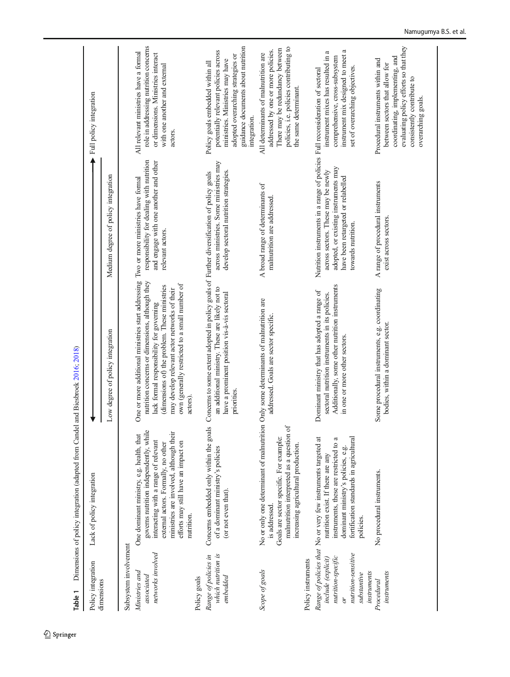<span id="page-3-0"></span>

| Table 1                                                                                                   | Dimensions of policy integration (adapted from Candel                                                                                                                                                                                                             | and Biesbrock 2016; 2018)                                                                                                                                                                                                                                                                                                                          |                                                                                                                                                                                                                         |                                                                                                                                                                                                        |
|-----------------------------------------------------------------------------------------------------------|-------------------------------------------------------------------------------------------------------------------------------------------------------------------------------------------------------------------------------------------------------------------|----------------------------------------------------------------------------------------------------------------------------------------------------------------------------------------------------------------------------------------------------------------------------------------------------------------------------------------------------|-------------------------------------------------------------------------------------------------------------------------------------------------------------------------------------------------------------------------|--------------------------------------------------------------------------------------------------------------------------------------------------------------------------------------------------------|
| Policy integration                                                                                        | Lack of policy integration                                                                                                                                                                                                                                        |                                                                                                                                                                                                                                                                                                                                                    |                                                                                                                                                                                                                         | Full policy integration                                                                                                                                                                                |
| dimensions                                                                                                |                                                                                                                                                                                                                                                                   | Low degree of policy integration                                                                                                                                                                                                                                                                                                                   | Medium degree of policy integration                                                                                                                                                                                     |                                                                                                                                                                                                        |
| Subsystem involvement                                                                                     |                                                                                                                                                                                                                                                                   |                                                                                                                                                                                                                                                                                                                                                    |                                                                                                                                                                                                                         |                                                                                                                                                                                                        |
| networks involved<br>Ministries and<br>associated                                                         | governs nutrition independently, while<br>ministries are involved, although their<br>One dominant ministry, e.g. health, that<br>interacting with a range of relevant<br>efforts may still have an impact on<br>external actors. Formally, no other<br>nutrition. | One or more additional ministries start addressing Two or more ministries have formal<br>nutrition concerns or dimensions, although they<br>own (generally restricted to a small number of<br>(dimensions of) the problem. These ministries<br>may develop relevant actor networks of their<br>lack formal responsibility for governing<br>actors) | responsibility for dealing with nutrition<br>and engage with one another and other<br>relevant actors.                                                                                                                  | role in addressing nutrition concerns<br>All relevant ministries have a formal<br>or dimensions. Ministries interact<br>with one another and external<br>actors.                                       |
| Policy goals                                                                                              |                                                                                                                                                                                                                                                                   |                                                                                                                                                                                                                                                                                                                                                    |                                                                                                                                                                                                                         |                                                                                                                                                                                                        |
| Range of policies in<br>which nutrition is<br>embedded                                                    | Concerns embedded only within the goals<br>of a dominant ministry's policies<br>(or not even that).                                                                                                                                                               | Concerns to some extent adopted in policy goals of Further diversification of policy goals<br>an additional ministry. These are likely not to<br>have a prominent position vis-à-vis sectoral<br>priorities.                                                                                                                                       | across ministries. Some ministries may<br>develop sectoral nutrition strategies.                                                                                                                                        | guidance documents about nutrition<br>potentially relevant policies across<br>adopted overarching strategies or<br>ministries. Ministries may have<br>Policy goals embedded within all<br>integration. |
| Scope of goals                                                                                            | No or only one determinant of malnutrition<br>malnutrition interpreted as a question of<br>Goals are sector specific. For example:<br>increasing agricultural production.<br>is addressed.                                                                        | Only some determinants of malnutrition are<br>addressed. Goals are sector specific.                                                                                                                                                                                                                                                                | A broad range of determinants of<br>malnutrition are addressed.                                                                                                                                                         | policies, i.e. policies contributing to<br>There may be redundancy between<br>addressed by one or more policies.<br>All determinants of malnutrition are<br>the same determinant.                      |
| Policy instruments                                                                                        |                                                                                                                                                                                                                                                                   |                                                                                                                                                                                                                                                                                                                                                    |                                                                                                                                                                                                                         |                                                                                                                                                                                                        |
| nutrition-sensitive<br>nutrition-specific<br>include (explicit)<br>instruments<br>substantive<br>$\delta$ | fortification standards in agricultural<br>Range of policies that No or very few instruments targeted at<br>instruments, these are restricted to a<br>dominant ministry's policies, e.g.<br>nutrition exist. If there are any<br>policies.                        | Additionally, some other nutrition instruments<br>Dominant ministry that has adopted a range of<br>sectoral nutrition instruments in its policies.<br>in one or more other sectors.                                                                                                                                                                | Nutrition instruments in a range of policies Full reconsideration of sectoral<br>adopted, or existing instruments may<br>across sectors. These may be newly<br>have been retargeted or relabelled<br>towards nutrition. | ß<br>a<br>instrument mix designed to meet<br>instrument mixes has resulted in<br>comprehensive, cross-subsystem<br>set of overarching objectives.                                                      |
| instruments<br>Procedural                                                                                 | No procedural instruments.                                                                                                                                                                                                                                        | Some procedural instruments, e.g. coordinating<br>bodies, within a dominant sector.                                                                                                                                                                                                                                                                | A range of procedural instruments<br>exist across sectors.                                                                                                                                                              | evaluating policy efforts so that they<br>coordinating, implementing, and<br>Procedural instruments within and<br>between sectors that allow for<br>consistently contribute to<br>overarching goals.   |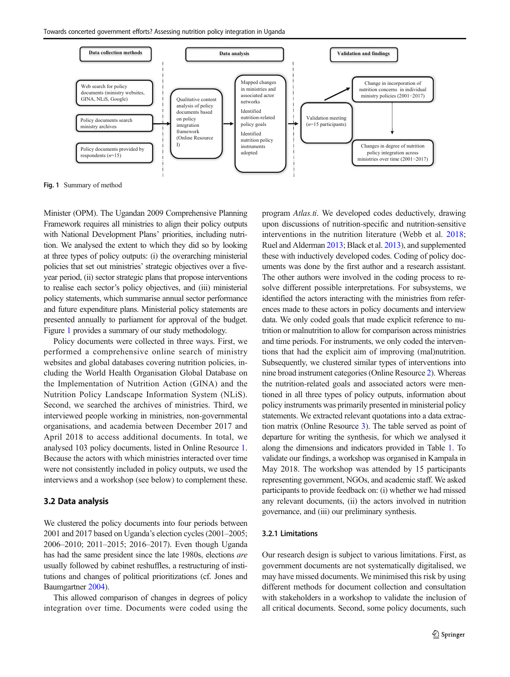Towards concerted government efforts? Assessing nutrition policy integration in Uganda



Fig. 1 Summary of method

Minister (OPM). The Ugandan 2009 Comprehensive Planning Framework requires all ministries to align their policy outputs with National Development Plans' priorities, including nutrition. We analysed the extent to which they did so by looking at three types of policy outputs: (i) the overarching ministerial policies that set out ministries' strategic objectives over a fiveyear period, (ii) sector strategic plans that propose interventions to realise each sector's policy objectives, and (iii) ministerial policy statements, which summarise annual sector performance and future expenditure plans. Ministerial policy statements are presented annually to parliament for approval of the budget. Figure 1 provides a summary of our study methodology.

Policy documents were collected in three ways. First, we performed a comprehensive online search of ministry websites and global databases covering nutrition policies, including the World Health Organisation Global Database on the Implementation of Nutrition Action (GINA) and the Nutrition Policy Landscape Information System (NLiS). Second, we searched the archives of ministries. Third, we interviewed people working in ministries, non-governmental organisations, and academia between December 2017 and April 2018 to access additional documents. In total, we analysed 103 policy documents, listed in Online Resource 1. Because the actors with which ministries interacted over time were not consistently included in policy outputs, we used the interviews and a workshop (see below) to complement these.

## 3.2 Data analysis

We clustered the policy documents into four periods between 2001 and 2017 based on Uganda's election cycles (2001–2005; 2006–2010; 2011–2015; 2016–2017). Even though Uganda has had the same president since the late 1980s, elections are usually followed by cabinet reshuffles, a restructuring of institutions and changes of political prioritizations (cf. Jones and Baumgartner [2004](#page-12-0)).

This allowed comparison of changes in degrees of policy integration over time. Documents were coded using the program Atlas.ti. We developed codes deductively, drawing upon discussions of nutrition-specific and nutrition-sensitive interventions in the nutrition literature (Webb et al. [2018;](#page-13-0) Ruel and Alderman [2013;](#page-12-0) Black et al. [2013](#page-11-0)), and supplemented these with inductively developed codes. Coding of policy documents was done by the first author and a research assistant. The other authors were involved in the coding process to resolve different possible interpretations. For subsystems, we identified the actors interacting with the ministries from references made to these actors in policy documents and interview data. We only coded goals that made explicit reference to nutrition or malnutrition to allow for comparison across ministries and time periods. For instruments, we only coded the interventions that had the explicit aim of improving (mal)nutrition. Subsequently, we clustered similar types of interventions into nine broad instrument categories (Online Resource 2). Whereas the nutrition-related goals and associated actors were mentioned in all three types of policy outputs, information about policy instruments was primarily presented in ministerial policy statements. We extracted relevant quotations into a data extraction matrix (Online Resource 3). The table served as point of departure for writing the synthesis, for which we analysed it along the dimensions and indicators provided in Table [1](#page-3-0). To validate our findings, a workshop was organised in Kampala in May 2018. The workshop was attended by 15 participants representing government, NGOs, and academic staff. We asked participants to provide feedback on: (i) whether we had missed any relevant documents, (ii) the actors involved in nutrition governance, and (iii) our preliminary synthesis.

#### 3.2.1 Limitations

Our research design is subject to various limitations. First, as government documents are not systematically digitalised, we may have missed documents. We minimised this risk by using different methods for document collection and consultation with stakeholders in a workshop to validate the inclusion of all critical documents. Second, some policy documents, such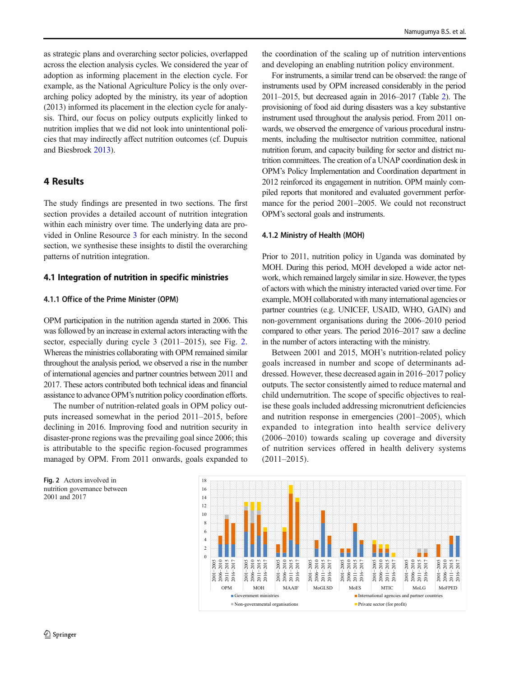<span id="page-5-0"></span>as strategic plans and overarching sector policies, overlapped across the election analysis cycles. We considered the year of adoption as informing placement in the election cycle. For example, as the National Agriculture Policy is the only overarching policy adopted by the ministry, its year of adoption (2013) informed its placement in the election cycle for analysis. Third, our focus on policy outputs explicitly linked to nutrition implies that we did not look into unintentional policies that may indirectly affect nutrition outcomes (cf. Dupuis and Biesbroek [2013](#page-11-0)).

# 4 Results

The study findings are presented in two sections. The first section provides a detailed account of nutrition integration within each ministry over time. The underlying data are provided in Online Resource 3 for each ministry. In the second section, we synthesise these insights to distil the overarching patterns of nutrition integration.

## 4.1 Integration of nutrition in specific ministries

## 4.1.1 Office of the Prime Minister (OPM)

OPM participation in the nutrition agenda started in 2006. This was followed by an increase in external actors interacting with the sector, especially during cycle 3 (2011–2015), see Fig. 2. Whereas the ministries collaborating with OPM remained similar throughout the analysis period, we observed a rise in the number of international agencies and partner countries between 2011 and 2017. These actors contributed both technical ideas and financial assistance to advance OPM's nutrition policy coordination efforts.

The number of nutrition-related goals in OPM policy outputs increased somewhat in the period 2011–2015, before declining in 2016. Improving food and nutrition security in disaster-prone regions was the prevailing goal since 2006; this is attributable to the specific region-focused programmes managed by OPM. From 2011 onwards, goals expanded to

Fig. 2 Actors involved in nutrition governance between 2001 and 2017

the coordination of the scaling up of nutrition interventions and developing an enabling nutrition policy environment.

For instruments, a similar trend can be observed: the range of instruments used by OPM increased considerably in the period 2011–2015, but decreased again in 2016–2017 (Table [2\)](#page-6-0). The provisioning of food aid during disasters was a key substantive instrument used throughout the analysis period. From 2011 onwards, we observed the emergence of various procedural instruments, including the multisector nutrition committee, national nutrition forum, and capacity building for sector and district nutrition committees. The creation of a UNAP coordination desk in OPM's Policy Implementation and Coordination department in 2012 reinforced its engagement in nutrition. OPM mainly compiled reports that monitored and evaluated government performance for the period 2001–2005. We could not reconstruct OPM's sectoral goals and instruments.

#### 4.1.2 Ministry of Health (MOH)

Prior to 2011, nutrition policy in Uganda was dominated by MOH. During this period, MOH developed a wide actor network, which remained largely similar in size. However, the types of actors with which the ministry interacted varied over time. For example, MOH collaborated with many international agencies or partner countries (e.g. UNICEF, USAID, WHO, GAIN) and non-government organisations during the 2006–2010 period compared to other years. The period 2016–2017 saw a decline in the number of actors interacting with the ministry.

Between 2001 and 2015, MOH's nutrition-related policy goals increased in number and scope of determinants addressed. However, these decreased again in 2016–2017 policy outputs. The sector consistently aimed to reduce maternal and child undernutrition. The scope of specific objectives to realise these goals included addressing micronutrient deficiencies and nutrition response in emergencies (2001–2005), which expanded to integration into health service delivery (2006–2010) towards scaling up coverage and diversity of nutrition services offered in health delivery systems (2011–2015).

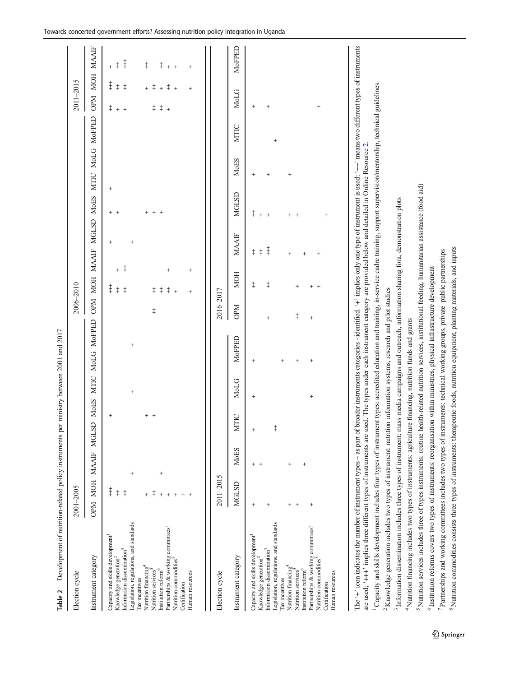<span id="page-6-0"></span>

| Development of nutrition-related policy instruments per ministry between 2001 and 2017<br>Table 2                                                                                                                                                                                                                                                                                                                                                                                                                                                                                                                                                                                                                                                                                                                                                                                                                                                                                                                                                                                                                                                                                                                                                                                                                                                                                                                                                                                                                                                                                                                                                                                                                                                                                                                                                                                                                                                            |                                                                    |                                        |                             |                     |                                                                                                                                       |                         |                                                                                              |                                                               |                                                                     |                            |                |                                                                                                   |                                                                                        |
|--------------------------------------------------------------------------------------------------------------------------------------------------------------------------------------------------------------------------------------------------------------------------------------------------------------------------------------------------------------------------------------------------------------------------------------------------------------------------------------------------------------------------------------------------------------------------------------------------------------------------------------------------------------------------------------------------------------------------------------------------------------------------------------------------------------------------------------------------------------------------------------------------------------------------------------------------------------------------------------------------------------------------------------------------------------------------------------------------------------------------------------------------------------------------------------------------------------------------------------------------------------------------------------------------------------------------------------------------------------------------------------------------------------------------------------------------------------------------------------------------------------------------------------------------------------------------------------------------------------------------------------------------------------------------------------------------------------------------------------------------------------------------------------------------------------------------------------------------------------------------------------------------------------------------------------------------------------|--------------------------------------------------------------------|----------------------------------------|-----------------------------|---------------------|---------------------------------------------------------------------------------------------------------------------------------------|-------------------------|----------------------------------------------------------------------------------------------|---------------------------------------------------------------|---------------------------------------------------------------------|----------------------------|----------------|---------------------------------------------------------------------------------------------------|----------------------------------------------------------------------------------------|
| Election cycle                                                                                                                                                                                                                                                                                                                                                                                                                                                                                                                                                                                                                                                                                                                                                                                                                                                                                                                                                                                                                                                                                                                                                                                                                                                                                                                                                                                                                                                                                                                                                                                                                                                                                                                                                                                                                                                                                                                                               | 2001-2005                                                          |                                        |                             |                     |                                                                                                                                       | 2006-2010               |                                                                                              |                                                               |                                                                     |                            |                | 2011-2015                                                                                         |                                                                                        |
| Instrument category                                                                                                                                                                                                                                                                                                                                                                                                                                                                                                                                                                                                                                                                                                                                                                                                                                                                                                                                                                                                                                                                                                                                                                                                                                                                                                                                                                                                                                                                                                                                                                                                                                                                                                                                                                                                                                                                                                                                          | <b>MOH</b><br><b>NdO</b>                                           | <b>MAAIF</b>                           | <b>MoES</b><br><b>MGLSD</b> | <b>MTIC</b>         | MOFPED<br><b>MoLG</b>                                                                                                                 | <b>OPM</b>              | <b>MOH</b>                                                                                   | <b>MGLSD</b><br>MAAIF                                         | <b>MoES</b>                                                         | <b>MoLG</b><br><b>MTIC</b> | MoFPED         | OPM MOH                                                                                           | <b>MAAIF</b>                                                                           |
| Legislation, regulations, and standards<br>Partnerships & working committees <sup>7</sup><br>Nutrition commodities <sup>8</sup><br>Capacity and skills development<br>Information dissemination <sup>3</sup><br>Knowledge generation <sup>2</sup><br>Nutrition financing <sup>4</sup><br>Nutrition services <sup>5</sup><br>Institution reform <sup>6</sup><br>Human resources<br>Tax incentives<br>Certification                                                                                                                                                                                                                                                                                                                                                                                                                                                                                                                                                                                                                                                                                                                                                                                                                                                                                                                                                                                                                                                                                                                                                                                                                                                                                                                                                                                                                                                                                                                                            | $\overline{1}$<br>$\ddagger$<br>$\ddagger$<br>$\ddagger$<br>$^{+}$ |                                        | $^{+}$<br>$^{+}$            | $\overline{1}$      | $^{+}$                                                                                                                                | $\ddagger$              | ŧ<br>$+$<br>$\overline{ }$<br>$\ddagger$<br>$\ddagger$<br>$\ddagger$<br>ŧ<br>$\ddagger$<br>‡ | $^{+}$<br>$^{+}$                                              | $\ddot{}$<br>$+$<br>$\ddot{}$<br>$^{+}$<br>$\overline{+}$<br>$^{+}$ |                            |                | $\ddagger$<br>$\ddagger$<br>$\ddagger$<br>$\ddagger$<br>$\ddagger$<br>$^{+}_{+}$<br>$+$<br>$^{+}$ | $\ddagger$<br>$\ddagger$<br>$\ddagger$<br>$^\ddag$<br>$\begin{array}{c} + \end{array}$ |
| Instrument category<br>Election cycle                                                                                                                                                                                                                                                                                                                                                                                                                                                                                                                                                                                                                                                                                                                                                                                                                                                                                                                                                                                                                                                                                                                                                                                                                                                                                                                                                                                                                                                                                                                                                                                                                                                                                                                                                                                                                                                                                                                        | 2011-2015<br>MGLSD                                                 | MoES                                   | $\subseteq$<br>Ş            | <b>MoLG</b>         | MoFPED                                                                                                                                | 2016-2017<br><b>OPM</b> | <b>MOH</b>                                                                                   | MAAIF                                                         | MGLSD                                                               | <b>MoES</b>                | <b>NTIC</b>    | MoLG                                                                                              | MoFPED                                                                                 |
| The '+' icon indicates the number of instrument types – as part of broader instruments categories - identified. '+' implies only one type of instrument is used: '++' means two different types of instruments<br>Capacity and skills development includes four types of instrument types: accredited education and training, in-service cadre training, support supervision/mentorship, technical guidelines<br>are used; '+++' implies three different types of instruments are used. The types under each instrument category are provided below and detailed in Online Resource 2.<br><sup>5</sup> Nutrition services includes three of types instruments: routine health-related nutrition services, institutional feeding, humanitarian assistance (food aid)<br><sup>3</sup> Information dissemination includes three types of instrument: mass media campaigns and outreach, information sharing fora, demonstration plots<br><sup>8</sup> Nutrition commodities consists three types of instruments: therapeutic foods, nutrition equipment, planting materials, and inputs<br>7 Partnerships and working committees includes two types of instruments: technical working groups, private-public partnerships<br><sup>4</sup> Nutrition financing includes two types of instruments: agriculture financing, nutrition funds and grants<br><sup>6</sup> Institution reforms covers two types of instruments: reorganisation<br><sup>2</sup> Knowledge generation includes two types of instrument: nutrition<br>Legislation, regulations, and standards<br>Partnerships & working committees <sup>7</sup><br>Nutrition commodities $\stackrel{8}{\scriptstyle{5}}$<br>Capacity and skills development<br>Information dissemination <sup>3</sup><br>Knowledge generation <sup>2</sup><br>Nutrition financing <sup>4</sup><br>Institution reform <sup>6</sup><br>Nutrition services <sup>3</sup><br>Human resources<br>Tax incentives<br>Certification | $^{+}$<br>$^{+}$<br>$^{+}$<br>$+$<br>$^{+}$                        | $^{+}$<br>$\,{}^+$<br>$^{+}$<br>$\,^+$ | $\ddagger$                  | $^{+}$<br>$\ddot{}$ | within ministries, physical infrastructure development<br>information systems, research and pilot studies<br>$^{+}$<br>$\overline{+}$ | $\ddagger$              | $\ddagger$<br>$\ddagger$                                                                     | $\ddagger$<br>$\ddagger$<br>$\ddagger$<br>$\ddot{}$<br>$^{+}$ | $\ddagger$<br>$+$<br>$\overline{+}$                                 |                            | $\overline{+}$ | $^{+}$<br>$^{+}$<br>$\ddot{}$                                                                     |                                                                                        |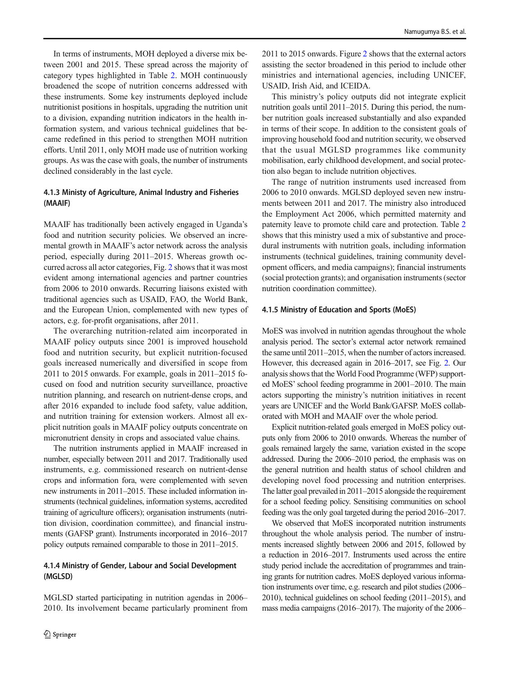In terms of instruments, MOH deployed a diverse mix between 2001 and 2015. These spread across the majority of category types highlighted in Table [2.](#page-6-0) MOH continuously broadened the scope of nutrition concerns addressed with these instruments. Some key instruments deployed include nutritionist positions in hospitals, upgrading the nutrition unit to a division, expanding nutrition indicators in the health information system, and various technical guidelines that became redefined in this period to strengthen MOH nutrition efforts. Until 2011, only MOH made use of nutrition working groups. As was the case with goals, the number of instruments declined considerably in the last cycle.

## 4.1.3 Ministy of Agriculture, Animal Industry and Fisheries (MAAIF)

MAAIF has traditionally been actively engaged in Uganda's food and nutrition security policies. We observed an incremental growth in MAAIF's actor network across the analysis period, especially during 2011–2015. Whereas growth occurred across all actor categories, Fig. [2](#page-5-0) shows that it was most evident among international agencies and partner countries from 2006 to 2010 onwards. Recurring liaisons existed with traditional agencies such as USAID, FAO, the World Bank, and the European Union, complemented with new types of actors, e.g. for-profit organisations, after 2011.

The overarching nutrition-related aim incorporated in MAAIF policy outputs since 2001 is improved household food and nutrition security, but explicit nutrition-focused goals increased numerically and diversified in scope from 2011 to 2015 onwards. For example, goals in 2011–2015 focused on food and nutrition security surveillance, proactive nutrition planning, and research on nutrient-dense crops, and after 2016 expanded to include food safety, value addition, and nutrition training for extension workers. Almost all explicit nutrition goals in MAAIF policy outputs concentrate on micronutrient density in crops and associated value chains.

The nutrition instruments applied in MAAIF increased in number, especially between 2011 and 2017. Traditionally used instruments, e.g. commissioned research on nutrient-dense crops and information fora, were complemented with seven new instruments in 2011–2015. These included information instruments (technical guidelines, information systems, accredited training of agriculture officers); organisation instruments (nutrition division, coordination committee), and financial instruments (GAFSP grant). Instruments incorporated in 2016–2017 policy outputs remained comparable to those in 2011–2015.

## 4.1.4 Ministry of Gender, Labour and Social Development (MGLSD)

MGLSD started participating in nutrition agendas in 2006– 2010. Its involvement became particularly prominent from

2011 to 2015 onwards. Figure [2](#page-5-0) shows that the external actors assisting the sector broadened in this period to include other ministries and international agencies, including UNICEF, USAID, Irish Aid, and ICEIDA.

This ministry's policy outputs did not integrate explicit nutrition goals until 2011–2015. During this period, the number nutrition goals increased substantially and also expanded in terms of their scope. In addition to the consistent goals of improving household food and nutrition security, we observed that the usual MGLSD programmes like community mobilisation, early childhood development, and social protection also began to include nutrition objectives.

The range of nutrition instruments used increased from 2006 to 2010 onwards. MGLSD deployed seven new instruments between 2011 and 2017. The ministry also introduced the Employment Act 2006, which permitted maternity and paternity leave to promote child care and protection. Table [2](#page-6-0) shows that this ministry used a mix of substantive and procedural instruments with nutrition goals, including information instruments (technical guidelines, training community development officers, and media campaigns); financial instruments (social protection grants); and organisation instruments (sector nutrition coordination committee).

## 4.1.5 Ministry of Education and Sports (MoES)

MoES was involved in nutrition agendas throughout the whole analysis period. The sector's external actor network remained the same until 2011–2015, when the number of actors increased. However, this decreased again in 2016–2017, see Fig. [2.](#page-5-0) Our analysis shows that the World Food Programme (WFP) supported MoES'school feeding programme in 2001–2010. The main actors supporting the ministry's nutrition initiatives in recent years are UNICEF and the World Bank/GAFSP. MoES collaborated with MOH and MAAIF over the whole period.

Explicit nutrition-related goals emerged in MoES policy outputs only from 2006 to 2010 onwards. Whereas the number of goals remained largely the same, variation existed in the scope addressed. During the 2006–2010 period, the emphasis was on the general nutrition and health status of school children and developing novel food processing and nutrition enterprises. The latter goal prevailed in 2011–2015 alongside the requirement for a school feeding policy. Sensitising communities on school feeding was the only goal targeted during the period 2016–2017.

We observed that MoES incorporated nutrition instruments throughout the whole analysis period. The number of instruments increased slightly between 2006 and 2015, followed by a reduction in 2016–2017. Instruments used across the entire study period include the accreditation of programmes and training grants for nutrition cadres. MoES deployed various information instruments over time, e.g. research and pilot studies (2006– 2010), technical guidelines on school feeding (2011–2015), and mass media campaigns (2016–2017). The majority of the 2006–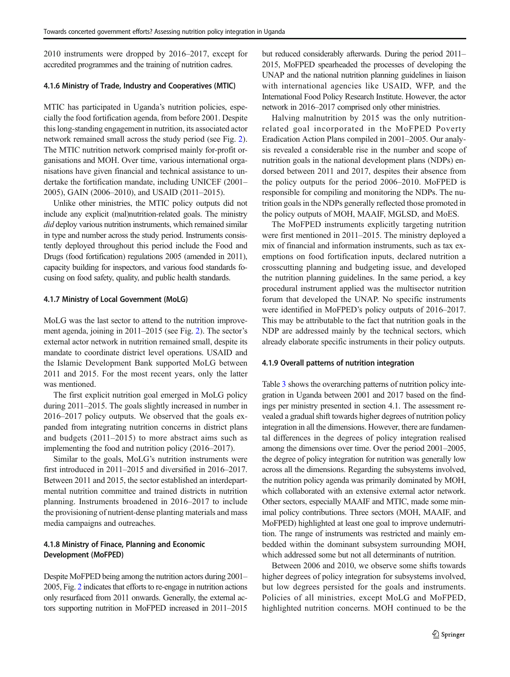2010 instruments were dropped by 2016–2017, except for accredited programmes and the training of nutrition cadres.

## 4.1.6 Ministry of Trade, Industry and Cooperatives (MTIC)

MTIC has participated in Uganda's nutrition policies, especially the food fortification agenda, from before 2001. Despite this long-standing engagement in nutrition, its associated actor network remained small across the study period (see Fig. [2\)](#page-5-0). The MTIC nutrition network comprised mainly for-profit organisations and MOH. Over time, various international organisations have given financial and technical assistance to undertake the fortification mandate, including UNICEF (2001– 2005), GAIN (2006–2010), and USAID (2011–2015).

Unlike other ministries, the MTIC policy outputs did not include any explicit (mal)nutrition-related goals. The ministry did deploy various nutrition instruments, which remained similar in type and number across the study period. Instruments consistently deployed throughout this period include the Food and Drugs (food fortification) regulations 2005 (amended in 2011), capacity building for inspectors, and various food standards focusing on food safety, quality, and public health standards.

#### 4.1.7 Ministry of Local Government (MoLG)

MoLG was the last sector to attend to the nutrition improvement agenda, joining in 2011–2015 (see Fig. [2](#page-5-0)). The sector's external actor network in nutrition remained small, despite its mandate to coordinate district level operations. USAID and the Islamic Development Bank supported MoLG between 2011 and 2015. For the most recent years, only the latter was mentioned.

The first explicit nutrition goal emerged in MoLG policy during 2011–2015. The goals slightly increased in number in 2016–2017 policy outputs. We observed that the goals expanded from integrating nutrition concerns in district plans and budgets (2011–2015) to more abstract aims such as implementing the food and nutrition policy (2016–2017).

Similar to the goals, MoLG's nutrition instruments were first introduced in 2011–2015 and diversified in 2016–2017. Between 2011 and 2015, the sector established an interdepartmental nutrition committee and trained districts in nutrition planning. Instruments broadened in 2016–2017 to include the provisioning of nutrient-dense planting materials and mass media campaigns and outreaches.

## 4.1.8 Ministry of Finace, Planning and Economic Development (MoFPED)

Despite MoFPED being among the nutrition actors during 2001– 2005, Fig. [2](#page-5-0) indicates that efforts to re-engage in nutrition actions only resurfaced from 2011 onwards. Generally, the external actors supporting nutrition in MoFPED increased in 2011–2015 but reduced considerably afterwards. During the period 2011– 2015, MoFPED spearheaded the processes of developing the UNAP and the national nutrition planning guidelines in liaison with international agencies like USAID, WFP, and the International Food Policy Research Institute. However, the actor network in 2016–2017 comprised only other ministries.

Halving malnutrition by 2015 was the only nutritionrelated goal incorporated in the MoFPED Poverty Eradication Action Plans compiled in 2001–2005. Our analysis revealed a considerable rise in the number and scope of nutrition goals in the national development plans (NDPs) endorsed between 2011 and 2017, despites their absence from the policy outputs for the period 2006–2010. MoFPED is responsible for compiling and monitoring the NDPs. The nutrition goals in the NDPs generally reflected those promoted in the policy outputs of MOH, MAAIF, MGLSD, and MoES.

The MoFPED instruments explicitly targeting nutrition were first mentioned in 2011–2015. The ministry deployed a mix of financial and information instruments, such as tax exemptions on food fortification inputs, declared nutrition a crosscutting planning and budgeting issue, and developed the nutrition planning guidelines. In the same period, a key procedural instrument applied was the multisector nutrition forum that developed the UNAP. No specific instruments were identified in MoFPED's policy outputs of 2016–2017. This may be attributable to the fact that nutrition goals in the NDP are addressed mainly by the technical sectors, which already elaborate specific instruments in their policy outputs.

#### 4.1.9 Overall patterns of nutrition integration

Table [3](#page-9-0) shows the overarching patterns of nutrition policy integration in Uganda between 2001 and 2017 based on the findings per ministry presented in section 4.1. The assessment revealed a gradual shift towards higher degrees of nutrition policy integration in all the dimensions. However, there are fundamental differences in the degrees of policy integration realised among the dimensions over time. Over the period 2001–2005, the degree of policy integration for nutrition was generally low across all the dimensions. Regarding the subsystems involved, the nutrition policy agenda was primarily dominated by MOH, which collaborated with an extensive external actor network. Other sectors, especially MAAIF and MTIC, made some minimal policy contributions. Three sectors (MOH, MAAIF, and MoFPED) highlighted at least one goal to improve undernutrition. The range of instruments was restricted and mainly embedded within the dominant subsystem surrounding MOH, which addressed some but not all determinants of nutrition.

Between 2006 and 2010, we observe some shifts towards higher degrees of policy integration for subsystems involved, but low degrees persisted for the goals and instruments. Policies of all ministries, except MoLG and MoFPED, highlighted nutrition concerns. MOH continued to be the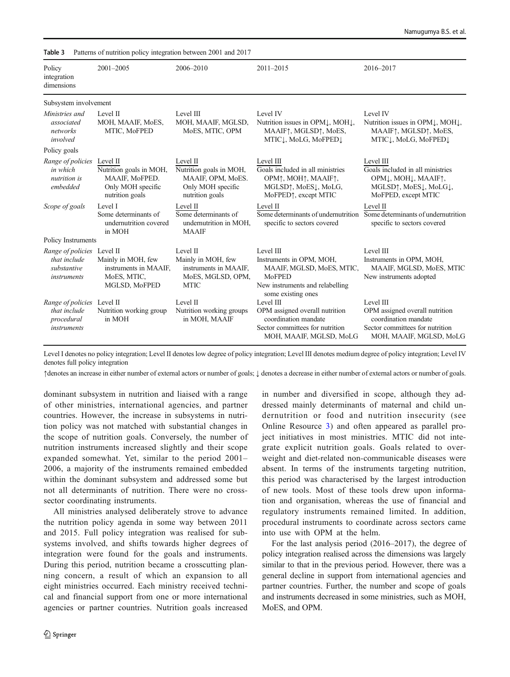| Policy<br>integration<br>dimensions                                      | $2001 - 2005$                                                                                 | 2006-2010                                                                                        | 2011-2015                                                                                                                                                                                          | 2016-2017                                                                                                                                                    |
|--------------------------------------------------------------------------|-----------------------------------------------------------------------------------------------|--------------------------------------------------------------------------------------------------|----------------------------------------------------------------------------------------------------------------------------------------------------------------------------------------------------|--------------------------------------------------------------------------------------------------------------------------------------------------------------|
| Subsystem involvement                                                    |                                                                                               |                                                                                                  |                                                                                                                                                                                                    |                                                                                                                                                              |
| Ministries and<br>associated<br>networks<br>involved                     | Level II<br>MOH, MAAIF, MoES,<br>MTIC, MoFPED                                                 | Level III<br>MOH, MAAIF, MGLSD,<br>MoES, MTIC, OPM                                               | Level IV<br>Nutrition issues in OPML, MOHL,<br>MAAIF $\uparrow$ , MGLSD $\uparrow$ , MoES,<br>MTIC1, MoLG, MoFPED1                                                                                 | Level IV<br>Nutrition issues in OPML, MOHL,<br>MAAIF $\uparrow$ , MGLSD $\uparrow$ , MoES,<br>MTIC1, MoLG, MoFPED1                                           |
| Policy goals                                                             |                                                                                               |                                                                                                  |                                                                                                                                                                                                    |                                                                                                                                                              |
| Range of policies<br>in which<br>nutrition is<br>embedded                | Level II<br>Nutrition goals in MOH,<br>MAAIF, MoFPED.<br>Only MOH specific<br>nutrition goals | Level II<br>Nutrition goals in MOH,<br>MAAIF, OPM, MoES.<br>Only MOH specific<br>nutrition goals | Level III<br>Goals included in all ministries<br>OPM <sup>†</sup> , MOH <sup>†</sup> , MAAIF <sup>†</sup> ,<br>MGLSD <sup>†</sup> , MoES <sup>[</sup> , MoLG,<br>MoFPED <sup>1</sup> , except MTIC | Level III<br>Goals included in all ministries<br>OPML, MOHL, MAAIF <sub>1</sub> ,<br>MGLSD <sup>1</sup> , MoES <sup>[1, MoLG]</sup> ,<br>MoFPED, except MTIC |
| Scope of goals                                                           | Level I<br>Some determinants of<br>undernutrition covered<br>in MOH                           | Level II<br>Some determinants of<br>undernutrition in MOH,<br><b>MAAIF</b>                       | Level II<br>Some determinants of undernutrition<br>specific to sectors covered                                                                                                                     | Level II<br>Some determinants of undernutrition<br>specific to sectors covered                                                                               |
| Policy Instruments                                                       |                                                                                               |                                                                                                  |                                                                                                                                                                                                    |                                                                                                                                                              |
| Range of policies Level II<br>that include<br>substantive<br>instruments | Mainly in MOH, few<br>instruments in MAAIF,<br>MoES, MTIC,<br>MGLSD, MoFPED                   | Level II<br>Mainly in MOH, few<br>instruments in MAAIF,<br>MoES, MGLSD, OPM,<br><b>MTIC</b>      | Level III<br>Instruments in OPM, MOH,<br>MAAIF, MGLSD, MoES, MTIC,<br>MoFPED<br>New instruments and relabelling<br>some existing ones                                                              | Level III<br>Instruments in OPM, MOH,<br>MAAIF, MGLSD, MoES, MTIC<br>New instruments adopted                                                                 |
| Range of policies Level II<br>that include<br>procedural<br>instruments  | Nutrition working group<br>in MOH                                                             | Level II<br>Nutrition working groups<br>in MOH, MAAIF                                            | Level III<br>OPM assigned overall nutrition<br>coordination mandate<br>Sector committees for nutrition<br>MOH, MAAIF, MGLSD, MoLG                                                                  | Level III<br>OPM assigned overall nutrition<br>coordination mandate<br>Sector committees for nutrition<br>MOH, MAAIF, MGLSD, MoLG                            |

<span id="page-9-0"></span>Table 3 Patterns of nutrition policy integration between 2001 and 2017

Level I denotes no policy integration; Level II denotes low degree of policy integration; Level III denotes medium degree of policy integration; Level IV denotes full policy integration

↑denotes an increase in either number of external actors or number of goals; ↓ denotes a decrease in either number of external actors or number of goals.

dominant subsystem in nutrition and liaised with a range of other ministries, international agencies, and partner countries. However, the increase in subsystems in nutrition policy was not matched with substantial changes in the scope of nutrition goals. Conversely, the number of nutrition instruments increased slightly and their scope expanded somewhat. Yet, similar to the period 2001– 2006, a majority of the instruments remained embedded within the dominant subsystem and addressed some but not all determinants of nutrition. There were no crosssector coordinating instruments.

All ministries analysed deliberately strove to advance the nutrition policy agenda in some way between 2011 and 2015. Full policy integration was realised for subsystems involved, and shifts towards higher degrees of integration were found for the goals and instruments. During this period, nutrition became a crosscutting planning concern, a result of which an expansion to all eight ministries occurred. Each ministry received technical and financial support from one or more international agencies or partner countries. Nutrition goals increased

in number and diversified in scope, although they addressed mainly determinants of maternal and child undernutrition or food and nutrition insecurity (see Online Resource 3) and often appeared as parallel project initiatives in most ministries. MTIC did not integrate explicit nutrition goals. Goals related to overweight and diet-related non-communicable diseases were absent. In terms of the instruments targeting nutrition, this period was characterised by the largest introduction of new tools. Most of these tools drew upon information and organisation, whereas the use of financial and regulatory instruments remained limited. In addition, procedural instruments to coordinate across sectors came into use with OPM at the helm.

For the last analysis period (2016–2017), the degree of policy integration realised across the dimensions was largely similar to that in the previous period. However, there was a general decline in support from international agencies and partner countries. Further, the number and scope of goals and instruments decreased in some ministries, such as MOH, MoES, and OPM.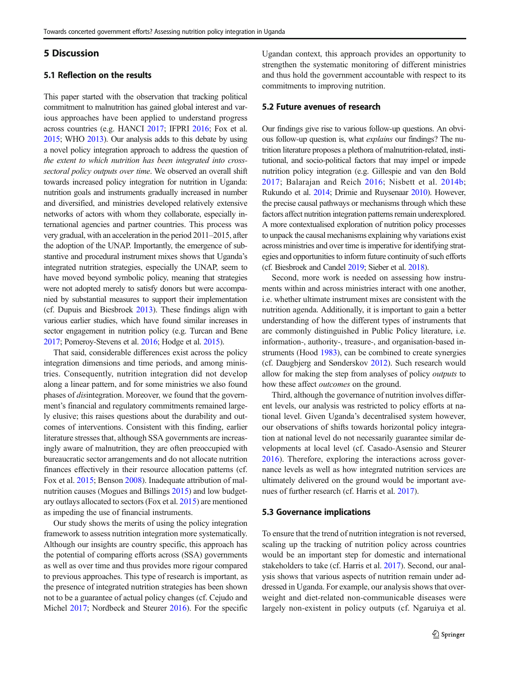## 5 Discussion

## 5.1 Reflection on the results

This paper started with the observation that tracking political commitment to malnutrition has gained global interest and various approaches have been applied to understand progress across countries (e.g. HANCI [2017](#page-12-0); IFPRI [2016](#page-12-0); Fox et al. [2015](#page-12-0); WHO [2013](#page-13-0)). Our analysis adds to this debate by using a novel policy integration approach to address the question of the extent to which nutrition has been integrated into crosssectoral policy outputs over time. We observed an overall shift towards increased policy integration for nutrition in Uganda: nutrition goals and instruments gradually increased in number and diversified, and ministries developed relatively extensive networks of actors with whom they collaborate, especially international agencies and partner countries. This process was very gradual, with an acceleration in the period 2011–2015, after the adoption of the UNAP. Importantly, the emergence of substantive and procedural instrument mixes shows that Uganda's integrated nutrition strategies, especially the UNAP, seem to have moved beyond symbolic policy, meaning that strategies were not adopted merely to satisfy donors but were accompanied by substantial measures to support their implementation (cf. Dupuis and Biesbroek [2013\)](#page-11-0). These findings align with various earlier studies, which have found similar increases in sector engagement in nutrition policy (e.g. Turcan and Bene [2017](#page-12-0); Pomeroy-Stevens et al. [2016;](#page-12-0) Hodge et al. [2015\)](#page-12-0).

That said, considerable differences exist across the policy integration dimensions and time periods, and among ministries. Consequently, nutrition integration did not develop along a linear pattern, and for some ministries we also found phases of disintegration. Moreover, we found that the government's financial and regulatory commitments remained largely elusive; this raises questions about the durability and outcomes of interventions. Consistent with this finding, earlier literature stresses that, although SSA governments are increasingly aware of malnutrition, they are often preoccupied with bureaucratic sector arrangements and do not allocate nutrition finances effectively in their resource allocation patterns (cf. Fox et al. [2015](#page-12-0); Benson [2008\)](#page-11-0). Inadequate attribution of malnutrition causes (Mogues and Billings [2015](#page-12-0)) and low budgetary outlays allocated to sectors (Fox et al. [2015](#page-12-0)) are mentioned as impeding the use of financial instruments.

Our study shows the merits of using the policy integration framework to assess nutrition integration more systematically. Although our insights are country specific, this approach has the potential of comparing efforts across (SSA) governments as well as over time and thus provides more rigour compared to previous approaches. This type of research is important, as the presence of integrated nutrition strategies has been shown not to be a guarantee of actual policy changes (cf. Cejudo and Michel [2017;](#page-11-0) Nordbeck and Steurer [2016\)](#page-12-0). For the specific Ugandan context, this approach provides an opportunity to strengthen the systematic monitoring of different ministries and thus hold the government accountable with respect to its commitments to improving nutrition.

## 5.2 Future avenues of research

Our findings give rise to various follow-up questions. An obvious follow-up question is, what explains our findings? The nutrition literature proposes a plethora of malnutrition-related, institutional, and socio-political factors that may impel or impede nutrition policy integration (e.g. Gillespie and van den Bold [2017](#page-12-0); Balarajan and Reich [2016](#page-11-0); Nisbett et al. [2014b;](#page-12-0) Rukundo et al. [2014](#page-12-0); Drimie and Ruysenaar [2010](#page-11-0)). However, the precise causal pathways or mechanisms through which these factors affect nutrition integration patterns remain underexplored. A more contextualised exploration of nutrition policy processes to unpack the causal mechanisms explaining why variations exist across ministries and over time is imperative for identifying strategies and opportunities to inform future continuity of such efforts (cf. Biesbroek and Candel [2019](#page-11-0); Sieber et al. [2018\)](#page-12-0).

Second, more work is needed on assessing how instruments within and across ministries interact with one another, i.e. whether ultimate instrument mixes are consistent with the nutrition agenda. Additionally, it is important to gain a better understanding of how the different types of instruments that are commonly distinguished in Public Policy literature, i.e. information-, authority-, treasure-, and organisation-based instruments (Hood [1983\)](#page-12-0), can be combined to create synergies (cf. Daugbjerg and Sønderskov [2012\)](#page-11-0). Such research would allow for making the step from analyses of policy outputs to how these affect outcomes on the ground.

Third, although the governance of nutrition involves different levels, our analysis was restricted to policy efforts at national level. Given Uganda's decentralised system however, our observations of shifts towards horizontal policy integration at national level do not necessarily guarantee similar developments at local level (cf. Casado-Asensio and Steurer [2016](#page-11-0)). Therefore, exploring the interactions across governance levels as well as how integrated nutrition services are ultimately delivered on the ground would be important avenues of further research (cf. Harris et al. [2017\)](#page-12-0).

#### 5.3 Governance implications

To ensure that the trend of nutrition integration is not reversed, scaling up the tracking of nutrition policy across countries would be an important step for domestic and international stakeholders to take (cf. Harris et al. [2017\)](#page-12-0). Second, our analysis shows that various aspects of nutrition remain under addressed in Uganda. For example, our analysis shows that overweight and diet-related non-communicable diseases were largely non-existent in policy outputs (cf. Ngaruiya et al.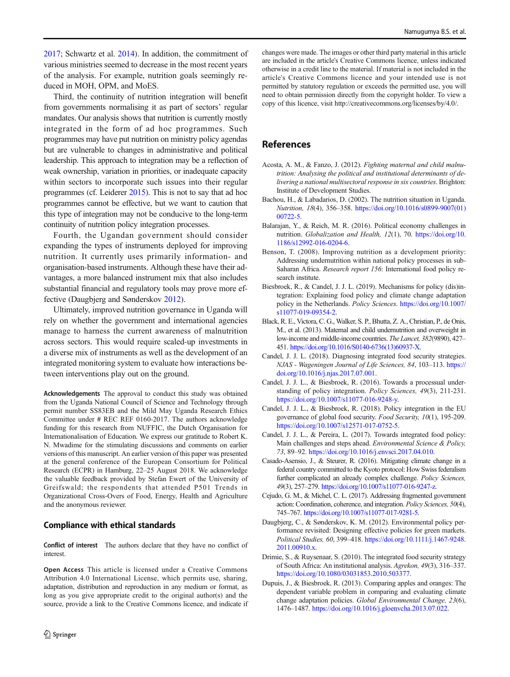<span id="page-11-0"></span>[2017;](#page-12-0) Schwartz et al. [2014](#page-12-0)). In addition, the commitment of various ministries seemed to decrease in the most recent years of the analysis. For example, nutrition goals seemingly reduced in MOH, OPM, and MoES.

Third, the continuity of nutrition integration will benefit from governments normalising it as part of sectors' regular mandates. Our analysis shows that nutrition is currently mostly integrated in the form of ad hoc programmes. Such programmes may have put nutrition on ministry policy agendas but are vulnerable to changes in administrative and political leadership. This approach to integration may be a reflection of weak ownership, variation in priorities, or inadequate capacity within sectors to incorporate such issues into their regular programmes (cf. Leiderer [2015](#page-12-0)). This is not to say that ad hoc programmes cannot be effective, but we want to caution that this type of integration may not be conducive to the long-term continuity of nutrition policy integration processes.

Fourth, the Ugandan government should consider expanding the types of instruments deployed for improving nutrition. It currently uses primarily information- and organisation-based instruments. Although these have their advantages, a more balanced instrument mix that also includes substantial financial and regulatory tools may prove more effective (Daugbjerg and Sønderskov 2012).

Ultimately, improved nutrition governance in Uganda will rely on whether the government and international agencies manage to harness the current awareness of malnutrition across sectors. This would require scaled-up investments in a diverse mix of instruments as well as the development of an integrated monitoring system to evaluate how interactions between interventions play out on the ground.

Acknowledgements The approval to conduct this study was obtained from the Uganda National Council of Science and Technology through permit number SS83EB and the Mild May Uganda Research Ethics Committee under # REC REF 0160-2017. The authors acknowledge funding for this research from NUFFIC, the Dutch Organisation for Internationalisation of Education. We express our gratitude to Robert K. N. Mwadime for the stimulating discussions and comments on earlier versions of this manuscript. An earlier version of this paper was presented at the general conference of the European Consortium for Political Research (ECPR) in Hamburg, 22–25 August 2018. We acknowledge the valuable feedback provided by Stefan Ewert of the University of Greifswald; the respondents that attended P501 Trends in Organizational Cross-Overs of Food, Energy, Health and Agriculture and the anonymous reviewer.

## Compliance with ethical standards

Conflict of interest The authors declare that they have no conflict of interest.

Open Access This article is licensed under a Creative Commons Attribution 4.0 International License, which permits use, sharing, adaptation, distribution and reproduction in any medium or format, as long as you give appropriate credit to the original author(s) and the source, provide a link to the Creative Commons licence, and indicate if changes were made. The images or other third party material in this article are included in the article's Creative Commons licence, unless indicated otherwise in a credit line to the material. If material is not included in the article's Creative Commons licence and your intended use is not permitted by statutory regulation or exceeds the permitted use, you will need to obtain permission directly from the copyright holder. To view a copy of this licence, visit http://creativecommons.org/licenses/by/4.0/.

# References

- Acosta, A. M., & Fanzo, J. (2012). Fighting maternal and child malnutrition: Analysing the political and institutional determinants of delivering a national multisectoral response in six countries. Brighton: Institute of Development Studies.
- Bachou, H., & Labadarios, D. (2002). The nutrition situation in Uganda. Nutrition, 18(4), 356–358. [https://doi.org/10.1016/s0899-9007\(01\)](https://doi.org/10.1016/s0899-9007(01)00722-5) [00722-5.](https://doi.org/10.1016/s0899-9007(01)00722-5)
- Balarajan, Y., & Reich, M. R. (2016). Political economy challenges in nutrition. Globalization and Health, 12(1), 70. [https://doi.org/10.](https://doi.org/10.1186/s12992-016-0204-6) [1186/s12992-016-0204-6](https://doi.org/10.1186/s12992-016-0204-6).
- Benson, T. (2008). Improving nutrition as a development priority: Addressing undernutrition within national policy processes in sub-Saharan Africa. Research report 156: International food policy research institute.
- Biesbroek, R., & Candel, J. J. L. (2019). Mechanisms for policy (dis)integration: Explaining food policy and climate change adaptation policy in the Netherlands. Policy Sciences. [https://doi.org/10.1007/](https://doi.org/10.1007/s11077-019-09354-2) [s11077-019-09354-2.](https://doi.org/10.1007/s11077-019-09354-2)
- Black, R. E., Victora, C. G., Walker, S. P., Bhutta, Z. A., Christian, P., de Onis, M., et al. (2013). Maternal and child undernutrition and overweight in low-income and middle-income countries. The Lancet, 382(9890), 427– 451. [https://doi.org/10.1016/S0140-6736\(13\)60937-X](https://doi.org/10.1016/S0140-6736(13)60937-X).
- Candel, J. J. L. (2018). Diagnosing integrated food security strategies. NJAS - Wageningen Journal of Life Sciences, 84, 103–113. [https://](https://doi.org/10.1016/j.njas.2017.07.001) [doi.org/10.1016/j.njas.2017.07.001](https://doi.org/10.1016/j.njas.2017.07.001).
- Candel, J. J. L., & Biesbroek, R. (2016). Towards a processual understanding of policy integration. Policy Sciences, 49(3), 211-231. [https://doi.org/10.1007/s11077-016-9248-y.](https://doi.org/10.1007/s11077-016-9248-y)
- Candel, J. J. L., & Biesbroek, R. (2018). Policy integration in the EU governance of global food security. Food Security, 10(1), 195-209. [https://doi.org/10.1007/s12571-017-0752-5.](https://doi.org/10.1007/s12571-017-0752-5)
- Candel, J. J. L., & Pereira, L. (2017). Towards integrated food policy: Main challenges and steps ahead. Environmental Science & Policy, 73, 89–92. [https://doi.org/10.1016/j.envsci.2017.04.010.](https://doi.org/10.1016/j.envsci.2017.04.010)
- Casado-Asensio, J., & Steurer, R. (2016). Mitigating climate change in a federal country committed to the Kyoto protocol: How Swiss federalism further complicated an already complex challenge. Policy Sciences, 49(3), 257–279. <https://doi.org/10.1007/s11077-016-9247-z>.
- Cejudo, G. M., & Michel, C. L. (2017). Addressing fragmented government action: Coordination, coherence, and integration. Policy Sciences, 50(4), 745–767. [https://doi.org/10.1007/s11077-017-9281-5](https://doi.org/10.1007/s11077-016-9248-y).
- Daugbjerg, C., & Sønderskov, K. M. (2012). Environmental policy performance revisited: Designing effective policies for green markets. Political Studies, 60, 399–418. [https://doi.org/10.1111/j.1467-9248.](https://doi.org/10.1111/j.1467-9248.2011.00910.x) [2011.00910.x](https://doi.org/10.1111/j.1467-9248.2011.00910.x).
- Drimie, S., & Ruysenaar, S. (2010). The integrated food security strategy of South Africa: An institutional analysis. Agrekon, 49(3), 316–337. <https://doi.org/10.1080/03031853.2010.503377>.
- Dupuis, J., & Biesbroek, R. (2013). Comparing apples and oranges: The dependent variable problem in comparing and evaluating climate change adaptation policies. Global Environmental Change, 23(6), 1476–1487. [https://doi.org/10.1016/j.gloenvcha.2013.07.022.](https://doi.org/10.1016/j.gloenvcha.2013.07.022)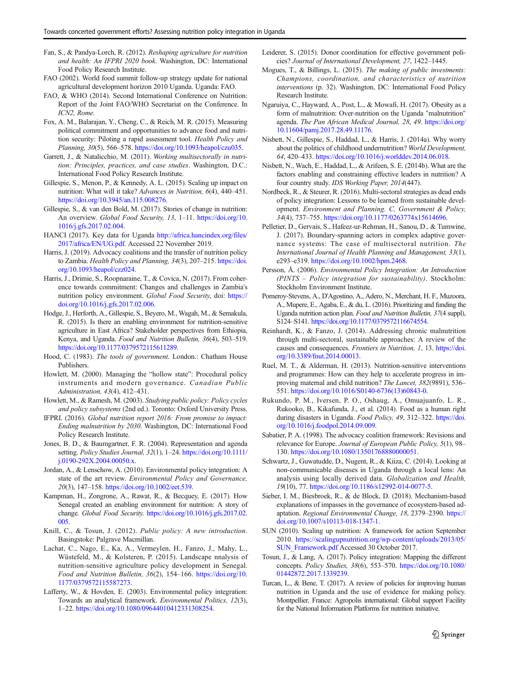- <span id="page-12-0"></span>Fan, S., & Pandya-Lorch, R. (2012). Reshaping agriculture for nutrition and health: An IFPRI 2020 book. Washington, DC: International Food Policy Research Institute.
- FAO (2002). World food summit follow-up strategy update for national agricultural development horizon 2010 Uganda. Uganda: FAO.
- FAO, & WHO (2014). Second International Conference on Nutrition: Report of the Joint FAO/WHO Secretariat on the Conference. In ICN2, Rome.
- Fox, A. M., Balarajan, Y., Cheng, C., & Reich, M. R. (2015). Measuring political commitment and opportunities to advance food and nutrition security: Piloting a rapid assessment tool. Health Policy and Planning, 30(5), 566–578. <https://doi.org/10.1093/heapol/czu035>.
- Garrett, J., & Natalicchio, M. (2011). Working multisectorally in nutrition: Principles, practices, and case studies. Washington, D.C.: International Food Policy Research Institute.
- Gillespie, S., Menon, P., & Kennedy, A. L. (2015). Scaling up impact on nutrition: What will it take? Advances in Nutrition, 6(4), 440–451. [https://doi.org/10.3945/an.115.008276.](https://doi.org/10.3945/an.115.008276)
- Gillespie, S., & van den Bold, M. (2017). Stories of change in nutrition: An overview. Global Food Security, 13, 1-11. [https://doi.org/10.](https://doi.org/10.1016/j.gfs.2017.02.004) [1016/j.gfs.2017.02.004](https://doi.org/10.1016/j.gfs.2017.02.004).
- HANCI (2017). Key data for Uganda [http://africa.hancindex.org/files/](http://africa.hancindex.org/files/2017/africa/EN/UG.pdf) [2017/africa/EN/UG.pdf](http://africa.hancindex.org/files/2017/africa/EN/UG.pdf). Accessed 22 November 2019.
- Harris, J. (2019). Advocacy coalitions and the transfer of nutrition policy to Zambia. Health Policy and Planning, 34(3), 207–215. [https://doi.](https://doi.org/10.1093/heapol/czz024) [org/10.1093/heapol/czz024](https://doi.org/10.1093/heapol/czz024).
- Harris, J., Drimie, S., Roopnaraine, T., & Covica, N. (2017). From coherence towards commitment: Changes and challenges in Zambia's nutrition policy environment. Global Food Security, doi: [https://](https://doi.org/10.1016/j.gfs.2017.02.006) [doi.org/10.1016/j.gfs.2017.02.006.](https://doi.org/10.1016/j.gfs.2017.02.006)
- Hodge, J., Herforth, A., Gillespie, S., Beyero, M., Wagah, M., & Semakula, R. (2015). Is there an enabling environment for nutrition-sensitive agriculture in East Africa? Stakeholder perspectives from Ethiopia, Kenya, and Uganda. Food and Nutrition Bulletin, 36(4), 503–519. [https://doi.org/10.1177/0379572115611289.](https://doi.org/10.1177/0379572115611289)
- Hood, C. (1983). The tools of government. London.: Chatham House Publishers.
- Howlett, M. (2000). Managing the "hollow state": Procedural policy instruments and modern governance. Canadian Public Administration, 43(4), 412–431.
- Howlett, M., & Ramesh, M. (2003). Studying public policy: Policy cycles and policy subsystems (2nd ed.). Toronto: Oxford University Press.
- IFPRI. (2016). Global nutrition report 2016: From promise to impact: Ending malnutrition by 2030. Washington, DC: International Food Policy Research Institute.
- Jones, B. D., & Baumgartner, F. R. (2004). Representation and agenda setting. Policy Studies Journal, 32(1), 1-24. [https://doi.org/10.1111/](https://doi.org/10.1111/j.0190-292X.2004.00050.x) [j.0190-292X.2004.00050.x](https://doi.org/10.1111/j.0190-292X.2004.00050.x).
- Jordan, A., & Lenschow, A. (2010). Environmental policy integration: A state of the art review. Environmental Policy and Governance, 20(3), 147–158. [https://doi.org/10.1002/eet.539.](https://doi.org/10.1002/eet.539)
- Kampman, H., Zongrone, A., Rawat, R., & Becquey, E. (2017). How Senegal created an enabling environment for nutrition: A story of change. Global Food Security. [https://doi.org/10.1016/j.gfs.2017.02.](https://doi.org/10.1016/j.gfs.2017.02.005) [005.](https://doi.org/10.1016/j.gfs.2017.02.005)
- Knill, C., & Tosun, J. (2012). Public policy: A new introduction. Basingstoke: Palgrave Macmillan.
- Lachat, C., Nago, E., Ka, A., Vermeylen, H., Fanzo, J., Mahy, L., Wüstefeld, M., & Kolsteren, P. (2015). Landscape nnalysis of nutrition-sensitive agriculture policy development in Senegal. Food and Nutrition Bulletin, 36(2), 154–166. [https://doi.org/10.](https://doi.org/10.1177/0379572115587273) [1177/0379572115587273](https://doi.org/10.1177/0379572115587273).
- Lafferty, W., & Hovden, E. (2003). Environmental policy integration: Towards an analytical framework. Environmental Politics, 12(3), 1–22. <https://doi.org/10.1080/09644010412331308254>.
- Leiderer, S. (2015). Donor coordination for effective government policies? Journal of International Development, 27, 1422–1445.
- Mogues, T., & Billings, L. (2015). The making of public investments: Champions, coordination, and characteristics of nutrition interventions (p. 32). Washington, DC: International Food Policy Research Institute.
- Ngaruiya, C., Hayward, A., Post, L., & Mowafi, H. (2017). Obesity as a form of malnutrition: Over-nutrition on the Uganda "malnutrition" agenda. The Pan African Medical Journal, 28, 49. [https://doi.org/](https://doi.org/10.11604/pamj.2017.28.49.11176) [10.11604/pamj.2017.28.49.11176.](https://doi.org/10.11604/pamj.2017.28.49.11176)
- Nisbett, N., Gillespie, S., Haddad, L., & Harris, J. (2014a). Why worry about the politics of childhood undernutrition? World Development, 64, 420–433. [https://doi.org/10.1016/j.worlddev.2014.06.018.](https://doi.org/10.1016/j.worlddev.2014.06.018)
- Nisbett, N., Wach, E., Haddad, L., & Arifeen, S. E. (2014b). What are the factors enabling and constraining effective leaders in nutrition? A four country study. IDS Working Paper, 2014(447).
- Nordbeck, R., & Steurer, R. (2016). Multi-sectoral strategies as dead ends of policy integration: Lessons to be learned from sustainable development. Environment and Planning. C, Government & Policy, 34(4), 737–755. <https://doi.org/10.1177/0263774x15614696>.
- Pelletier, D., Gervais, S., Hafeez-ur-Rehman, H., Sanou, D., & Tumwine, J. (2017). Boundary-spanning actors in complex adaptive governance systems: The case of multisectoral nutrition. The International Journal of Health Planning and Management, 33(1), e293–e319. [https://doi.org/10.1002/hpm.2468.](https://doi.org/10.1002/hpm.2468)
- Persson, Å. (2006). Environmental Policy Integration: An Introduction (PINTS – Policy integration for sustainability). Stockholm: Stockholm Environment Institute.
- Pomeroy-Stevens, A., D'Agostino, A., Adero, N., Merchant, H. F., Muzoora, A., Mupere, E., Agaba, E., & du, L. (2016). Prioritizing and funding the Uganda nutrition action plan. Food and Nutrition Bulletin, 37(4 suppl), S124–S141. [https://doi.org/10.1177/0379572116674554.](https://doi.org/10.1177/0379572116674554)
- Reinhardt, K., & Fanzo, J. (2014). Addressing chronic malnutrition through multi-sectoral, sustainable approaches: A review of the causes and consequences. Frontiers in Nutrition, 1, 13. [https://doi.](https://doi.org/10.3389/fnut.2014.00013) [org/10.3389/fnut.2014.00013](https://doi.org/10.3389/fnut.2014.00013).
- Ruel, M. T., & Alderman, H. (2013). Nutrition-sensitive interventions and programmes: How can they help to accelerate progress in improving maternal and child nutrition? The Lancet, 382(9891), 536– 551. [https://doi.org/10.1016/S0140-6736\(13\)60843-0.](https://doi.org/10.1016/S0140-6736(13)60843-0)
- Rukundo, P. M., Iversen, P. O., Oshaug, A., Omuajuanfo, L. R., Rukooko, B., Kikafunda, J., et al. (2014). Food as a human right during disasters in Uganda. Food Policy, 49, 312–322. [https://doi.](https://doi.org/10.1016/j.foodpol.2014.09.009) [org/10.1016/j.foodpol.2014.09.009](https://doi.org/10.1016/j.foodpol.2014.09.009).
- Sabatier, P. A. (1998). The advocacy coalition framework: Revisions and relevance for Europe. Journal of European Public Policy, 5(1), 98– 130. [https://doi.org/10.1080/13501768880000051.](https://doi.org/10.1080/13501768880000051)
- Schwartz, J., Guwatudde, D., Nugent, R., & Kiiza, C. (2014). Looking at non-communicable diseases in Uganda through a local lens: An analysis using locally derived data. Globalization and Health, 19(10), 77. <https://doi.org/10.1186/s12992-014-0077-5>.
- Sieber, I. M., Biesbroek, R., & de Block, D. (2018). Mechanism-based explanations of impasses in the governance of ecosystem-based adaptation. Regional Environmental Change, 18, 2379–2390. [https://](https://doi.org/10.1007/s10113-018-1347-1) [doi.org/10.1007/s10113-018-1347-1](https://doi.org/10.1007/s10113-018-1347-1).
- SUN (2010). Scaling up nutrition: A framework for action September 2010. [https://scalingupnutrition.org/wp-content/uploads/2013/05/](https://scalingupnutrition.org/wp-content/uploads/2013/05/SUN_Framework.pdf) [SUN\\_Framework.pdf](https://scalingupnutrition.org/wp-content/uploads/2013/05/SUN_Framework.pdf) Accessed 30 October 2017.
- Tosun, J., & Lang, A. (2017). Policy integration: Mapping the different concepts. Policy Studies, 38(6), 553–570. [https://doi.org/10.1080/](https://doi.org/10.1080/01442872.2017.1339239) [01442872.2017.1339239.](https://doi.org/10.1080/01442872.2017.1339239)
- Turcan, L., & Bene, T. (2017). A review of policies for improving human nutrition in Uganda and the use of evidence for making policy. Montpellier, France: Agropolis international: Global support Facility for the National Information Platforms for nutrition initiative.